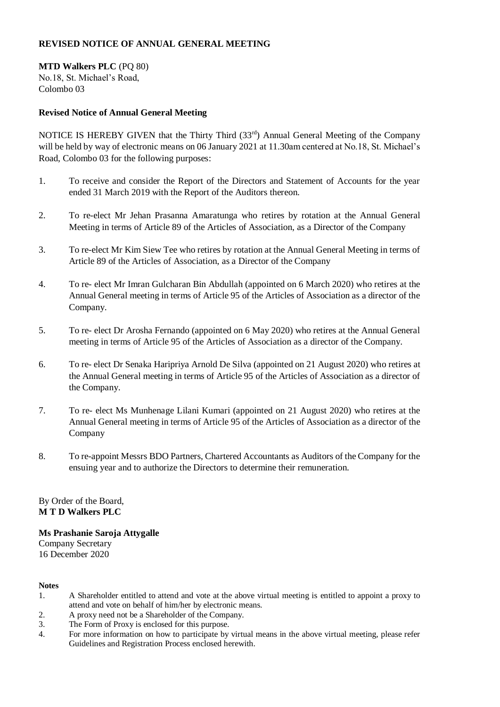# **REVISED NOTICE OF ANNUAL GENERAL MEETING**

**MTD Walkers PLC** (PQ 80) No.18, St. Michael's Road, Colombo 03

# **Revised Notice of Annual General Meeting**

NOTICE IS HEREBY GIVEN that the Thirty Third  $(33<sup>rd</sup>)$  Annual General Meeting of the Company will be held by way of electronic means on 06 January 2021 at 11.30am centered at No.18, St. Michael's Road, Colombo 03 for the following purposes:

- 1. To receive and consider the Report of the Directors and Statement of Accounts for the year ended 31 March 2019 with the Report of the Auditors thereon.
- 2. To re-elect Mr Jehan Prasanna Amaratunga who retires by rotation at the Annual General Meeting in terms of Article 89 of the Articles of Association, as a Director of the Company
- 3. To re-elect Mr Kim Siew Tee who retires by rotation at the Annual General Meeting in terms of Article 89 of the Articles of Association, as a Director of the Company
- 4. To re- elect Mr Imran Gulcharan Bin Abdullah (appointed on 6 March 2020) who retires at the Annual General meeting in terms of Article 95 of the Articles of Association as a director of the Company.
- 5. To re- elect Dr Arosha Fernando (appointed on 6 May 2020) who retires at the Annual General meeting in terms of Article 95 of the Articles of Association as a director of the Company.
- 6. To re- elect Dr Senaka Haripriya Arnold De Silva (appointed on 21 August 2020) who retires at the Annual General meeting in terms of Article 95 of the Articles of Association as a director of the Company.
- 7. To re- elect Ms Munhenage Lilani Kumari (appointed on 21 August 2020) who retires at the Annual General meeting in terms of Article 95 of the Articles of Association as a director of the Company
- 8. To re-appoint Messrs BDO Partners, Chartered Accountants as Auditors of the Company for the ensuing year and to authorize the Directors to determine their remuneration.

By Order of the Board, **M T D Walkers PLC** 

## **Ms Prashanie Saroja Attygalle**

Company Secretary 16 December 2020

#### **Notes**

- 1. A Shareholder entitled to attend and vote at the above virtual meeting is entitled to appoint a proxy to attend and vote on behalf of him/her by electronic means.
- 2. A proxy need not be a Shareholder of the Company.
- 3. The Form of Proxy is enclosed for this purpose.
- 4. For more information on how to participate by virtual means in the above virtual meeting, please refer Guidelines and Registration Process enclosed herewith.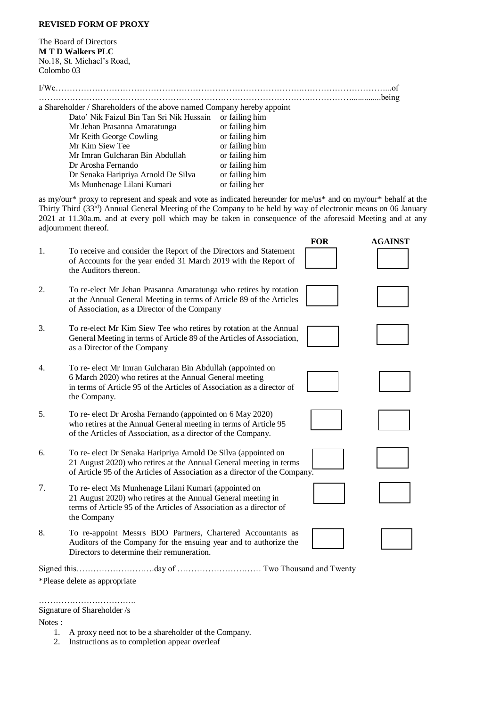### **REVISED FORM OF PROXY**

The Board of Directors **M T D Walkers PLC**  No.18, St. Michael's Road, Colombo 03

a Shareholder / Shareholders of the above named Company hereby appoint

| Dato' Nik Faizul Bin Tan Sri Nik Hussain | or failing him |
|------------------------------------------|----------------|
| Mr Jehan Prasanna Amaratunga             | or failing him |
| Mr Keith George Cowling                  | or failing him |
| Mr Kim Siew Tee                          | or failing him |
| Mr Imran Gulcharan Bin Abdullah          | or failing him |
| Dr Arosha Fernando                       | or failing him |
| Dr Senaka Haripriya Arnold De Silva      | or failing him |
| Ms Munhenage Lilani Kumari               | or failing her |

as my/our\* proxy to represent and speak and vote as indicated hereunder for me/us\* and on my/our\* behalf at the Thirty Third (33rd) Annual General Meeting of the Company to be held by way of electronic means on 06 January 2021 at 11.30a.m. and at every poll which may be taken in consequence of the aforesaid Meeting and at any adjournment thereof.

|    |                                                                                                                                                                                                                    | <b>FOR</b> | <b>AGAINST</b> |
|----|--------------------------------------------------------------------------------------------------------------------------------------------------------------------------------------------------------------------|------------|----------------|
| 1. | To receive and consider the Report of the Directors and Statement<br>of Accounts for the year ended 31 March 2019 with the Report of<br>the Auditors thereon.                                                      |            |                |
| 2. | To re-elect Mr Jehan Prasanna Amaratunga who retires by rotation<br>at the Annual General Meeting in terms of Article 89 of the Articles<br>of Association, as a Director of the Company                           |            |                |
| 3. | To re-elect Mr Kim Siew Tee who retires by rotation at the Annual<br>General Meeting in terms of Article 89 of the Articles of Association,<br>as a Director of the Company                                        |            |                |
| 4. | To re- elect Mr Imran Gulcharan Bin Abdullah (appointed on<br>6 March 2020) who retires at the Annual General meeting<br>in terms of Article 95 of the Articles of Association as a director of<br>the Company.    |            |                |
| 5. | To re- elect Dr Arosha Fernando (appointed on 6 May 2020)<br>who retires at the Annual General meeting in terms of Article 95<br>of the Articles of Association, as a director of the Company.                     |            |                |
| 6. | To re- elect Dr Senaka Haripriya Arnold De Silva (appointed on<br>21 August 2020) who retires at the Annual General meeting in terms<br>of Article 95 of the Articles of Association as a director of the Company. |            |                |
| 7. | To re- elect Ms Munhenage Lilani Kumari (appointed on<br>21 August 2020) who retires at the Annual General meeting in<br>terms of Article 95 of the Articles of Association as a director of<br>the Company        |            |                |
| 8. | To re-appoint Messrs BDO Partners, Chartered Accountants as<br>Auditors of the Company for the ensuing year and to authorize the<br>Directors to determine their remuneration.                                     |            |                |

Signed this……………………….day of ………………………… Two Thousand and Twenty

\*Please delete as appropriate

…………………………….. Signature of Shareholder /s

Notes :

- 1. A proxy need not to be a shareholder of the Company.
- 2. Instructions as to completion appear overleaf